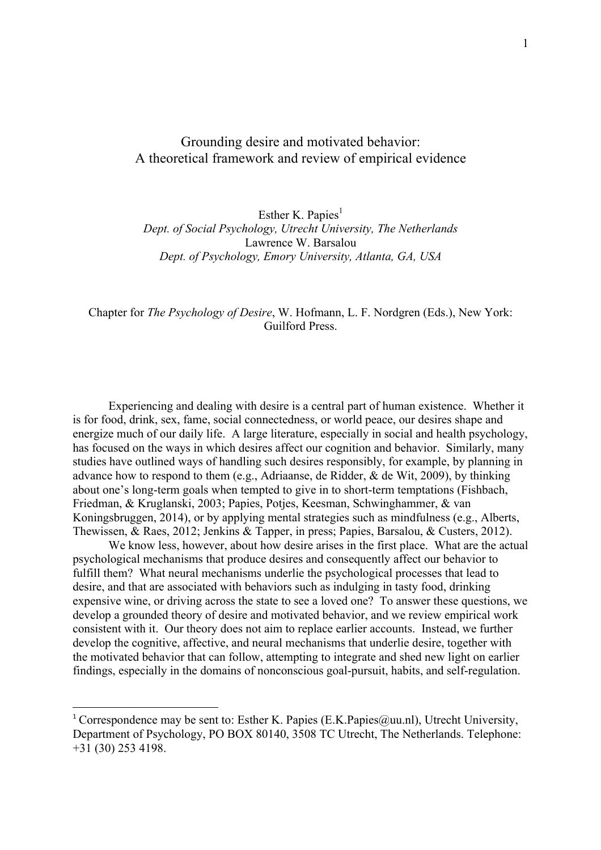# Grounding desire and motivated behavior: A theoretical framework and review of empirical evidence

Esther K. Papies $<sup>1</sup>$ </sup> *Dept. of Social Psychology, Utrecht University, The Netherlands* Lawrence W. Barsalou *Dept. of Psychology, Emory University, Atlanta, GA, USA*

Chapter for *The Psychology of Desire*, W. Hofmann, L. F. Nordgren (Eds.), New York: Guilford Press.

Experiencing and dealing with desire is a central part of human existence. Whether it is for food, drink, sex, fame, social connectedness, or world peace, our desires shape and energize much of our daily life. A large literature, especially in social and health psychology, has focused on the ways in which desires affect our cognition and behavior. Similarly, many studies have outlined ways of handling such desires responsibly, for example, by planning in advance how to respond to them (e.g., Adriaanse, de Ridder, & de Wit, 2009), by thinking about one's long-term goals when tempted to give in to short-term temptations (Fishbach, Friedman, & Kruglanski, 2003; Papies, Potjes, Keesman, Schwinghammer, & van Koningsbruggen, 2014), or by applying mental strategies such as mindfulness (e.g., Alberts, Thewissen, & Raes, 2012; Jenkins & Tapper, in press; Papies, Barsalou, & Custers, 2012).

We know less, however, about how desire arises in the first place. What are the actual psychological mechanisms that produce desires and consequently affect our behavior to fulfill them? What neural mechanisms underlie the psychological processes that lead to desire, and that are associated with behaviors such as indulging in tasty food, drinking expensive wine, or driving across the state to see a loved one? To answer these questions, we develop a grounded theory of desire and motivated behavior, and we review empirical work consistent with it. Our theory does not aim to replace earlier accounts. Instead, we further develop the cognitive, affective, and neural mechanisms that underlie desire, together with the motivated behavior that can follow, attempting to integrate and shed new light on earlier findings, especially in the domains of nonconscious goal-pursuit, habits, and self-regulation.

<u> 1989 - Jan Samuel Barbara, margaret e</u>

<sup>&</sup>lt;sup>1</sup> Correspondence may be sent to: Esther K. Papies (E.K. Papies  $\omega$ uu.nl), Utrecht University, Department of Psychology, PO BOX 80140, 3508 TC Utrecht, The Netherlands. Telephone: +31 (30) 253 4198.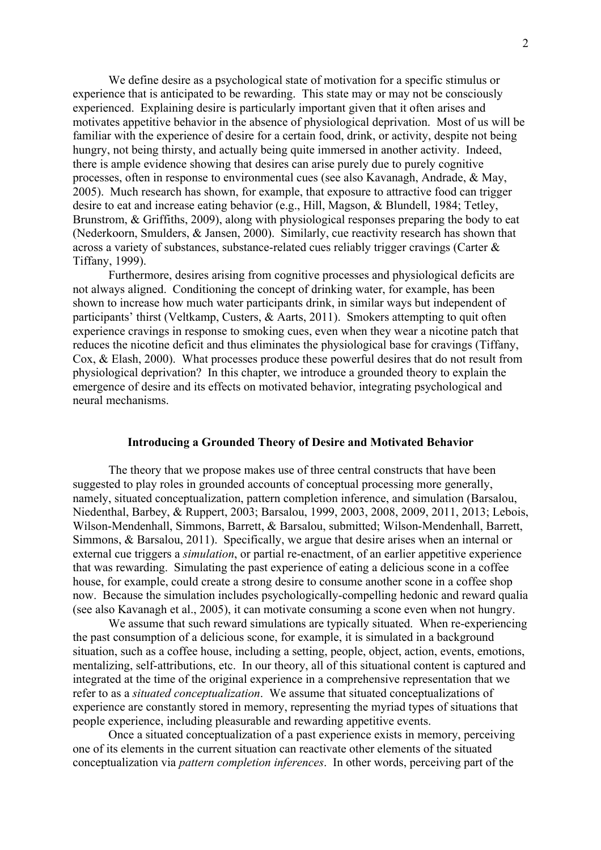We define desire as a psychological state of motivation for a specific stimulus or experience that is anticipated to be rewarding. This state may or may not be consciously experienced. Explaining desire is particularly important given that it often arises and motivates appetitive behavior in the absence of physiological deprivation. Most of us will be familiar with the experience of desire for a certain food, drink, or activity, despite not being hungry, not being thirsty, and actually being quite immersed in another activity. Indeed, there is ample evidence showing that desires can arise purely due to purely cognitive processes, often in response to environmental cues (see also Kavanagh, Andrade, & May, 2005). Much research has shown, for example, that exposure to attractive food can trigger desire to eat and increase eating behavior (e.g., Hill, Magson, & Blundell, 1984; Tetley, Brunstrom, & Griffiths, 2009), along with physiological responses preparing the body to eat (Nederkoorn, Smulders, & Jansen, 2000). Similarly, cue reactivity research has shown that across a variety of substances, substance-related cues reliably trigger cravings (Carter & Tiffany, 1999).

Furthermore, desires arising from cognitive processes and physiological deficits are not always aligned. Conditioning the concept of drinking water, for example, has been shown to increase how much water participants drink, in similar ways but independent of participants' thirst (Veltkamp, Custers, & Aarts, 2011). Smokers attempting to quit often experience cravings in response to smoking cues, even when they wear a nicotine patch that reduces the nicotine deficit and thus eliminates the physiological base for cravings (Tiffany, Cox, & Elash, 2000). What processes produce these powerful desires that do not result from physiological deprivation? In this chapter, we introduce a grounded theory to explain the emergence of desire and its effects on motivated behavior, integrating psychological and neural mechanisms.

### **Introducing a Grounded Theory of Desire and Motivated Behavior**

The theory that we propose makes use of three central constructs that have been suggested to play roles in grounded accounts of conceptual processing more generally, namely, situated conceptualization, pattern completion inference, and simulation (Barsalou, Niedenthal, Barbey, & Ruppert, 2003; Barsalou, 1999, 2003, 2008, 2009, 2011, 2013; Lebois, Wilson-Mendenhall, Simmons, Barrett, & Barsalou, submitted; Wilson-Mendenhall, Barrett, Simmons, & Barsalou, 2011). Specifically, we argue that desire arises when an internal or external cue triggers a *simulation*, or partial re-enactment, of an earlier appetitive experience that was rewarding. Simulating the past experience of eating a delicious scone in a coffee house, for example, could create a strong desire to consume another scone in a coffee shop now. Because the simulation includes psychologically-compelling hedonic and reward qualia (see also Kavanagh et al., 2005), it can motivate consuming a scone even when not hungry.

We assume that such reward simulations are typically situated. When re-experiencing the past consumption of a delicious scone, for example, it is simulated in a background situation, such as a coffee house, including a setting, people, object, action, events, emotions, mentalizing, self-attributions, etc. In our theory, all of this situational content is captured and integrated at the time of the original experience in a comprehensive representation that we refer to as a *situated conceptualization*. We assume that situated conceptualizations of experience are constantly stored in memory, representing the myriad types of situations that people experience, including pleasurable and rewarding appetitive events.

Once a situated conceptualization of a past experience exists in memory, perceiving one of its elements in the current situation can reactivate other elements of the situated conceptualization via *pattern completion inferences*. In other words, perceiving part of the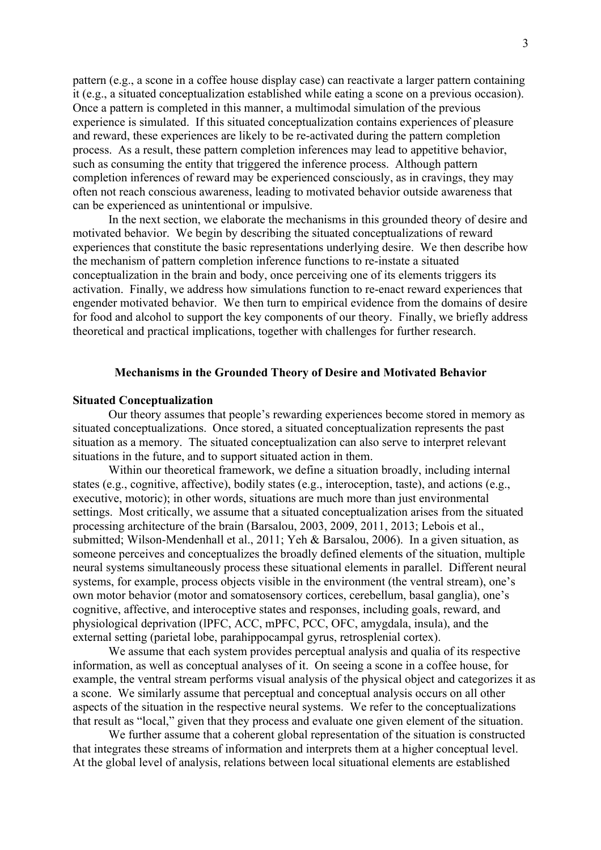pattern (e.g., a scone in a coffee house display case) can reactivate a larger pattern containing it (e.g., a situated conceptualization established while eating a scone on a previous occasion). Once a pattern is completed in this manner, a multimodal simulation of the previous experience is simulated. If this situated conceptualization contains experiences of pleasure and reward, these experiences are likely to be re-activated during the pattern completion process. As a result, these pattern completion inferences may lead to appetitive behavior, such as consuming the entity that triggered the inference process. Although pattern completion inferences of reward may be experienced consciously, as in cravings, they may often not reach conscious awareness, leading to motivated behavior outside awareness that can be experienced as unintentional or impulsive.

In the next section, we elaborate the mechanisms in this grounded theory of desire and motivated behavior. We begin by describing the situated conceptualizations of reward experiences that constitute the basic representations underlying desire. We then describe how the mechanism of pattern completion inference functions to re-instate a situated conceptualization in the brain and body, once perceiving one of its elements triggers its activation. Finally, we address how simulations function to re-enact reward experiences that engender motivated behavior. We then turn to empirical evidence from the domains of desire for food and alcohol to support the key components of our theory. Finally, we briefly address theoretical and practical implications, together with challenges for further research.

## **Mechanisms in the Grounded Theory of Desire and Motivated Behavior**

### **Situated Conceptualization**

Our theory assumes that people's rewarding experiences become stored in memory as situated conceptualizations. Once stored, a situated conceptualization represents the past situation as a memory. The situated conceptualization can also serve to interpret relevant situations in the future, and to support situated action in them.

Within our theoretical framework, we define a situation broadly, including internal states (e.g., cognitive, affective), bodily states (e.g., interoception, taste), and actions (e.g., executive, motoric); in other words, situations are much more than just environmental settings. Most critically, we assume that a situated conceptualization arises from the situated processing architecture of the brain (Barsalou, 2003, 2009, 2011, 2013; Lebois et al., submitted; Wilson-Mendenhall et al., 2011; Yeh & Barsalou, 2006). In a given situation, as someone perceives and conceptualizes the broadly defined elements of the situation, multiple neural systems simultaneously process these situational elements in parallel. Different neural systems, for example, process objects visible in the environment (the ventral stream), one's own motor behavior (motor and somatosensory cortices, cerebellum, basal ganglia), one's cognitive, affective, and interoceptive states and responses, including goals, reward, and physiological deprivation (lPFC, ACC, mPFC, PCC, OFC, amygdala, insula), and the external setting (parietal lobe, parahippocampal gyrus, retrosplenial cortex).

We assume that each system provides perceptual analysis and qualia of its respective information, as well as conceptual analyses of it. On seeing a scone in a coffee house, for example, the ventral stream performs visual analysis of the physical object and categorizes it as a scone. We similarly assume that perceptual and conceptual analysis occurs on all other aspects of the situation in the respective neural systems. We refer to the conceptualizations that result as "local," given that they process and evaluate one given element of the situation.

We further assume that a coherent global representation of the situation is constructed that integrates these streams of information and interprets them at a higher conceptual level. At the global level of analysis, relations between local situational elements are established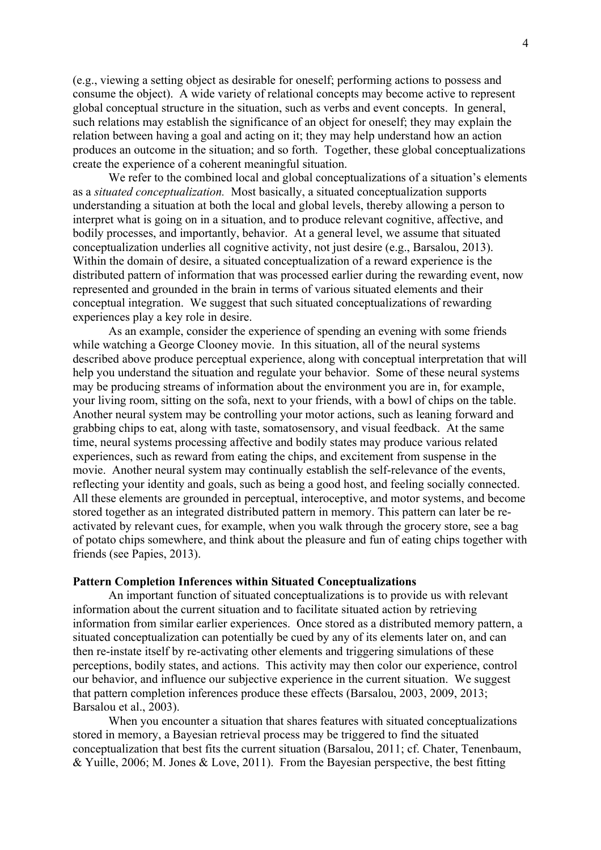(e.g., viewing a setting object as desirable for oneself; performing actions to possess and consume the object). A wide variety of relational concepts may become active to represent global conceptual structure in the situation, such as verbs and event concepts. In general, such relations may establish the significance of an object for oneself; they may explain the relation between having a goal and acting on it; they may help understand how an action produces an outcome in the situation; and so forth. Together, these global conceptualizations create the experience of a coherent meaningful situation.

We refer to the combined local and global conceptualizations of a situation's elements as a *situated conceptualization.* Most basically, a situated conceptualization supports understanding a situation at both the local and global levels, thereby allowing a person to interpret what is going on in a situation, and to produce relevant cognitive, affective, and bodily processes, and importantly, behavior. At a general level, we assume that situated conceptualization underlies all cognitive activity, not just desire (e.g., Barsalou, 2013). Within the domain of desire, a situated conceptualization of a reward experience is the distributed pattern of information that was processed earlier during the rewarding event, now represented and grounded in the brain in terms of various situated elements and their conceptual integration. We suggest that such situated conceptualizations of rewarding experiences play a key role in desire.

As an example, consider the experience of spending an evening with some friends while watching a George Clooney movie. In this situation, all of the neural systems described above produce perceptual experience, along with conceptual interpretation that will help you understand the situation and regulate your behavior. Some of these neural systems may be producing streams of information about the environment you are in, for example, your living room, sitting on the sofa, next to your friends, with a bowl of chips on the table. Another neural system may be controlling your motor actions, such as leaning forward and grabbing chips to eat, along with taste, somatosensory, and visual feedback. At the same time, neural systems processing affective and bodily states may produce various related experiences, such as reward from eating the chips, and excitement from suspense in the movie. Another neural system may continually establish the self-relevance of the events, reflecting your identity and goals, such as being a good host, and feeling socially connected. All these elements are grounded in perceptual, interoceptive, and motor systems, and become stored together as an integrated distributed pattern in memory. This pattern can later be reactivated by relevant cues, for example, when you walk through the grocery store, see a bag of potato chips somewhere, and think about the pleasure and fun of eating chips together with friends (see Papies, 2013).

### **Pattern Completion Inferences within Situated Conceptualizations**

An important function of situated conceptualizations is to provide us with relevant information about the current situation and to facilitate situated action by retrieving information from similar earlier experiences. Once stored as a distributed memory pattern, a situated conceptualization can potentially be cued by any of its elements later on, and can then re-instate itself by re-activating other elements and triggering simulations of these perceptions, bodily states, and actions. This activity may then color our experience, control our behavior, and influence our subjective experience in the current situation. We suggest that pattern completion inferences produce these effects (Barsalou, 2003, 2009, 2013; Barsalou et al., 2003).

When you encounter a situation that shares features with situated conceptualizations stored in memory, a Bayesian retrieval process may be triggered to find the situated conceptualization that best fits the current situation (Barsalou, 2011; cf. Chater, Tenenbaum, & Yuille, 2006; M. Jones & Love, 2011). From the Bayesian perspective, the best fitting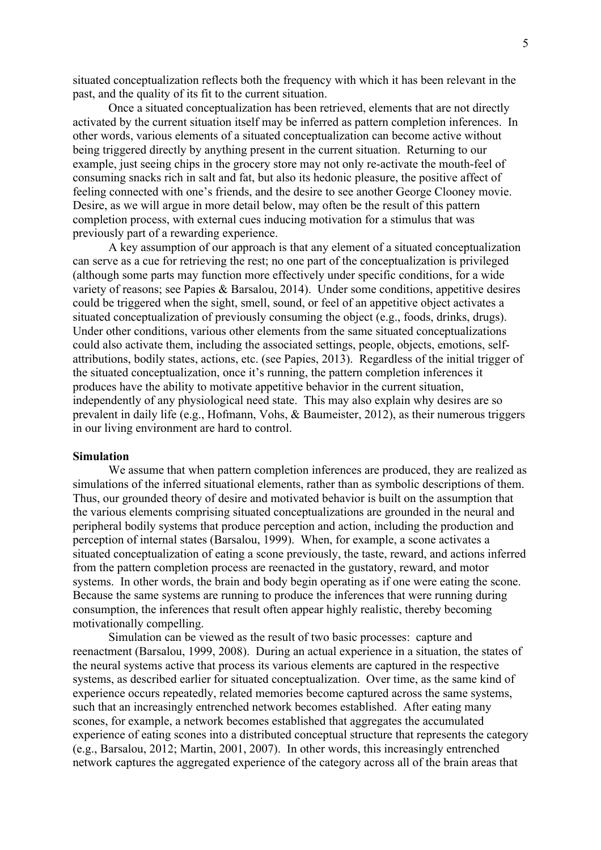situated conceptualization reflects both the frequency with which it has been relevant in the past, and the quality of its fit to the current situation.

Once a situated conceptualization has been retrieved, elements that are not directly activated by the current situation itself may be inferred as pattern completion inferences. In other words, various elements of a situated conceptualization can become active without being triggered directly by anything present in the current situation. Returning to our example, just seeing chips in the grocery store may not only re-activate the mouth-feel of consuming snacks rich in salt and fat, but also its hedonic pleasure, the positive affect of feeling connected with one's friends, and the desire to see another George Clooney movie. Desire, as we will argue in more detail below, may often be the result of this pattern completion process, with external cues inducing motivation for a stimulus that was previously part of a rewarding experience.

A key assumption of our approach is that any element of a situated conceptualization can serve as a cue for retrieving the rest; no one part of the conceptualization is privileged (although some parts may function more effectively under specific conditions, for a wide variety of reasons; see Papies & Barsalou, 2014). Under some conditions, appetitive desires could be triggered when the sight, smell, sound, or feel of an appetitive object activates a situated conceptualization of previously consuming the object (e.g., foods, drinks, drugs). Under other conditions, various other elements from the same situated conceptualizations could also activate them, including the associated settings, people, objects, emotions, selfattributions, bodily states, actions, etc. (see Papies, 2013). Regardless of the initial trigger of the situated conceptualization, once it's running, the pattern completion inferences it produces have the ability to motivate appetitive behavior in the current situation, independently of any physiological need state. This may also explain why desires are so prevalent in daily life (e.g., Hofmann, Vohs, & Baumeister, 2012), as their numerous triggers in our living environment are hard to control.

### **Simulation**

We assume that when pattern completion inferences are produced, they are realized as simulations of the inferred situational elements, rather than as symbolic descriptions of them. Thus, our grounded theory of desire and motivated behavior is built on the assumption that the various elements comprising situated conceptualizations are grounded in the neural and peripheral bodily systems that produce perception and action, including the production and perception of internal states (Barsalou, 1999). When, for example, a scone activates a situated conceptualization of eating a scone previously, the taste, reward, and actions inferred from the pattern completion process are reenacted in the gustatory, reward, and motor systems. In other words, the brain and body begin operating as if one were eating the scone. Because the same systems are running to produce the inferences that were running during consumption, the inferences that result often appear highly realistic, thereby becoming motivationally compelling.

Simulation can be viewed as the result of two basic processes: capture and reenactment (Barsalou, 1999, 2008). During an actual experience in a situation, the states of the neural systems active that process its various elements are captured in the respective systems, as described earlier for situated conceptualization. Over time, as the same kind of experience occurs repeatedly, related memories become captured across the same systems, such that an increasingly entrenched network becomes established. After eating many scones, for example, a network becomes established that aggregates the accumulated experience of eating scones into a distributed conceptual structure that represents the category (e.g., Barsalou, 2012; Martin, 2001, 2007). In other words, this increasingly entrenched network captures the aggregated experience of the category across all of the brain areas that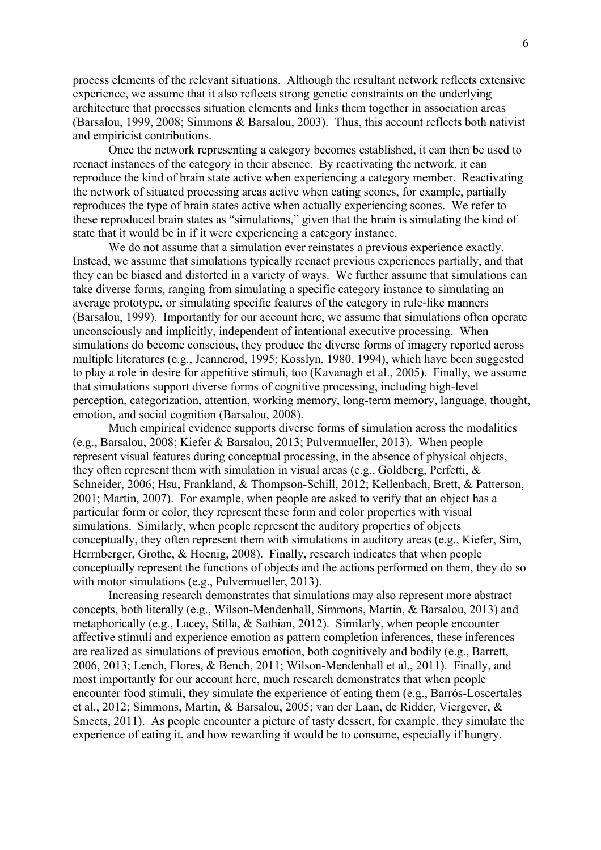process elements of the relevant situations. Although the resultant network reflects extensive experience, we assume that it also reflects strong genetic constraints on the underlying architecture that processes situation elements and links them together in association areas (Barsalou, 1999, 2008; Simmons & Barsalou, 2003). Thus, this account reflects both nativist and empiricist contributions.

Once the network representing a category becomes established, it can then be used to reenact instances of the category in their absence. By reactivating the network, it can reproduce the kind of brain state active when experiencing a category member. Reactivating the network of situated processing areas active when eating scones, for example, partially reproduces the type of brain states active when actually experiencing scones. We refer to these reproduced brain states as "simulations," given that the brain is simulating the kind of state that it would be in if it were experiencing a category instance.

We do not assume that a simulation ever reinstates a previous experience exactly. Instead, we assume that simulations typically reenact previous experiences partially, and that they can be biased and distorted in a variety of ways. We further assume that simulations can take diverse forms, ranging from simulating a specific category instance to simulating an average prototype, or simulating specific features of the category in rule-like manners (Barsalou, 1999). Importantly for our account here, we assume that simulations often operate unconsciously and implicitly, independent of intentional executive processing. When simulations do become conscious, they produce the diverse forms of imagery reported across multiple literatures (e.g., Jeannerod, 1995; Kosslyn, 1980, 1994), which have been suggested to play a role in desire for appetitive stimuli, too (Kavanagh et al., 2005). Finally, we assume that simulations support diverse forms of cognitive processing, including high-level perception, categorization, attention, working memory, long-term memory, language, thought, emotion, and social cognition (Barsalou, 2008).

Much empirical evidence supports diverse forms of simulation across the modalities (e.g., Barsalou, 2008; Kiefer & Barsalou, 2013; Pulvermueller, 2013). When people represent visual features during conceptual processing, in the absence of physical objects, they often represent them with simulation in visual areas (e.g., Goldberg, Perfetti, & Schneider, 2006; Hsu, Frankland, & Thompson-Schill, 2012; Kellenbach, Brett, & Patterson, 2001; Martin, 2007). For example, when people are asked to verify that an object has a particular form or color, they represent these form and color properties with visual simulations. Similarly, when people represent the auditory properties of objects conceptually, they often represent them with simulations in auditory areas (e.g., Kiefer, Sim, Herrnberger, Grothe, & Hoenig, 2008). Finally, research indicates that when people conceptually represent the functions of objects and the actions performed on them, they do so with motor simulations (e.g., Pulvermueller, 2013).

Increasing research demonstrates that simulations may also represent more abstract concepts, both literally (e.g., Wilson-Mendenhall, Simmons, Martin, & Barsalou, 2013) and metaphorically (e.g., Lacey, Stilla, & Sathian, 2012). Similarly, when people encounter affective stimuli and experience emotion as pattern completion inferences, these inferences are realized as simulations of previous emotion, both cognitively and bodily (e.g., Barrett, 2006, 2013; Lench, Flores, & Bench, 2011; Wilson-Mendenhall et al., 2011). Finally, and most importantly for our account here, much research demonstrates that when people encounter food stimuli, they simulate the experience of eating them (e.g., Barrós-Loscertales et al., 2012; Simmons, Martin, & Barsalou, 2005; van der Laan, de Ridder, Viergever, & Smeets, 2011). As people encounter a picture of tasty dessert, for example, they simulate the experience of eating it, and how rewarding it would be to consume, especially if hungry.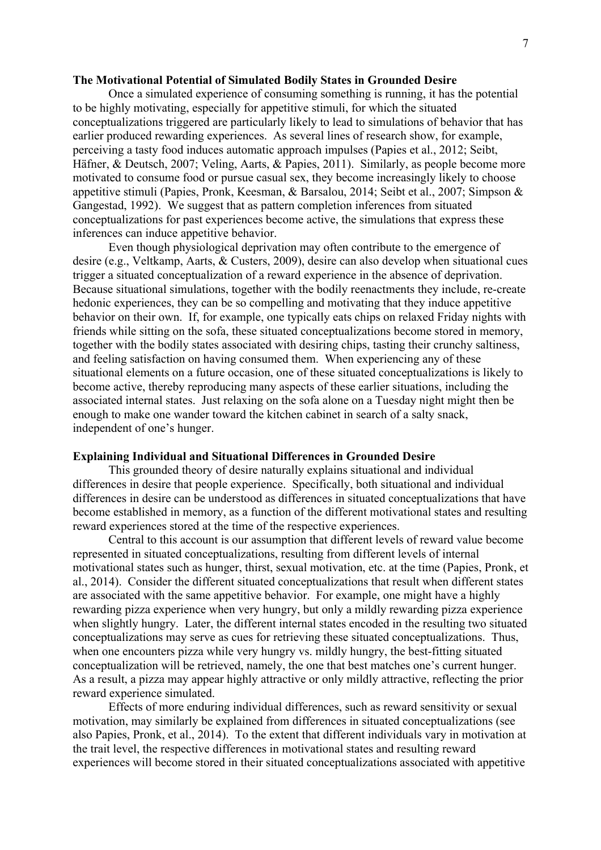### **The Motivational Potential of Simulated Bodily States in Grounded Desire**

Once a simulated experience of consuming something is running, it has the potential to be highly motivating, especially for appetitive stimuli, for which the situated conceptualizations triggered are particularly likely to lead to simulations of behavior that has earlier produced rewarding experiences. As several lines of research show, for example, perceiving a tasty food induces automatic approach impulses (Papies et al., 2012; Seibt, Häfner, & Deutsch, 2007; Veling, Aarts, & Papies, 2011). Similarly, as people become more motivated to consume food or pursue casual sex, they become increasingly likely to choose appetitive stimuli (Papies, Pronk, Keesman, & Barsalou, 2014; Seibt et al., 2007; Simpson & Gangestad, 1992). We suggest that as pattern completion inferences from situated conceptualizations for past experiences become active, the simulations that express these inferences can induce appetitive behavior.

Even though physiological deprivation may often contribute to the emergence of desire (e.g., Veltkamp, Aarts, & Custers, 2009), desire can also develop when situational cues trigger a situated conceptualization of a reward experience in the absence of deprivation. Because situational simulations, together with the bodily reenactments they include, re-create hedonic experiences, they can be so compelling and motivating that they induce appetitive behavior on their own. If, for example, one typically eats chips on relaxed Friday nights with friends while sitting on the sofa, these situated conceptualizations become stored in memory, together with the bodily states associated with desiring chips, tasting their crunchy saltiness, and feeling satisfaction on having consumed them. When experiencing any of these situational elements on a future occasion, one of these situated conceptualizations is likely to become active, thereby reproducing many aspects of these earlier situations, including the associated internal states. Just relaxing on the sofa alone on a Tuesday night might then be enough to make one wander toward the kitchen cabinet in search of a salty snack, independent of one's hunger.

### **Explaining Individual and Situational Differences in Grounded Desire**

This grounded theory of desire naturally explains situational and individual differences in desire that people experience. Specifically, both situational and individual differences in desire can be understood as differences in situated conceptualizations that have become established in memory, as a function of the different motivational states and resulting reward experiences stored at the time of the respective experiences.

Central to this account is our assumption that different levels of reward value become represented in situated conceptualizations, resulting from different levels of internal motivational states such as hunger, thirst, sexual motivation, etc. at the time (Papies, Pronk, et al., 2014). Consider the different situated conceptualizations that result when different states are associated with the same appetitive behavior. For example, one might have a highly rewarding pizza experience when very hungry, but only a mildly rewarding pizza experience when slightly hungry. Later, the different internal states encoded in the resulting two situated conceptualizations may serve as cues for retrieving these situated conceptualizations. Thus, when one encounters pizza while very hungry vs. mildly hungry, the best-fitting situated conceptualization will be retrieved, namely, the one that best matches one's current hunger. As a result, a pizza may appear highly attractive or only mildly attractive, reflecting the prior reward experience simulated.

Effects of more enduring individual differences, such as reward sensitivity or sexual motivation, may similarly be explained from differences in situated conceptualizations (see also Papies, Pronk, et al., 2014). To the extent that different individuals vary in motivation at the trait level, the respective differences in motivational states and resulting reward experiences will become stored in their situated conceptualizations associated with appetitive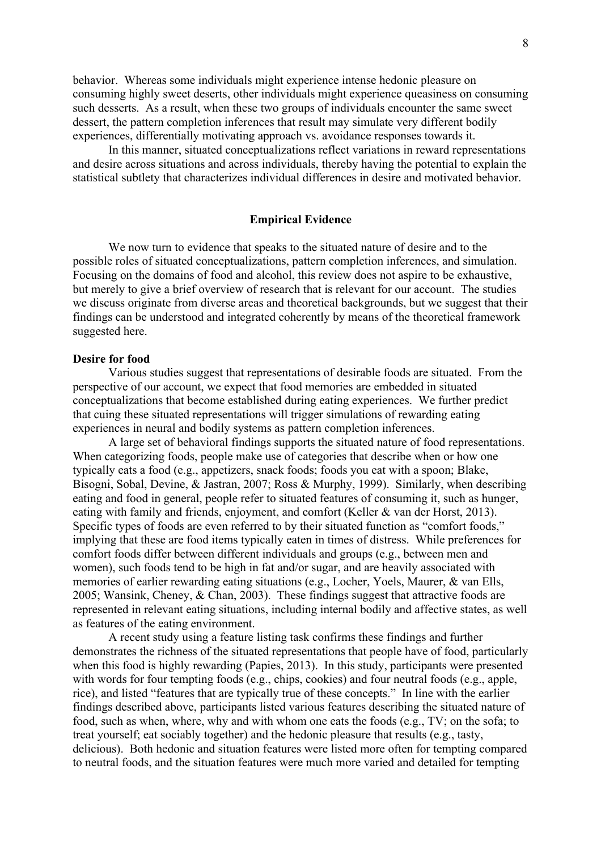behavior. Whereas some individuals might experience intense hedonic pleasure on consuming highly sweet deserts, other individuals might experience queasiness on consuming such desserts. As a result, when these two groups of individuals encounter the same sweet dessert, the pattern completion inferences that result may simulate very different bodily experiences, differentially motivating approach vs. avoidance responses towards it.

In this manner, situated conceptualizations reflect variations in reward representations and desire across situations and across individuals, thereby having the potential to explain the statistical subtlety that characterizes individual differences in desire and motivated behavior.

### **Empirical Evidence**

We now turn to evidence that speaks to the situated nature of desire and to the possible roles of situated conceptualizations, pattern completion inferences, and simulation. Focusing on the domains of food and alcohol, this review does not aspire to be exhaustive, but merely to give a brief overview of research that is relevant for our account. The studies we discuss originate from diverse areas and theoretical backgrounds, but we suggest that their findings can be understood and integrated coherently by means of the theoretical framework suggested here.

### **Desire for food**

Various studies suggest that representations of desirable foods are situated. From the perspective of our account, we expect that food memories are embedded in situated conceptualizations that become established during eating experiences. We further predict that cuing these situated representations will trigger simulations of rewarding eating experiences in neural and bodily systems as pattern completion inferences.

A large set of behavioral findings supports the situated nature of food representations. When categorizing foods, people make use of categories that describe when or how one typically eats a food (e.g., appetizers, snack foods; foods you eat with a spoon; Blake, Bisogni, Sobal, Devine, & Jastran, 2007; Ross & Murphy, 1999). Similarly, when describing eating and food in general, people refer to situated features of consuming it, such as hunger, eating with family and friends, enjoyment, and comfort (Keller & van der Horst, 2013). Specific types of foods are even referred to by their situated function as "comfort foods," implying that these are food items typically eaten in times of distress. While preferences for comfort foods differ between different individuals and groups (e.g., between men and women), such foods tend to be high in fat and/or sugar, and are heavily associated with memories of earlier rewarding eating situations (e.g., Locher, Yoels, Maurer, & van Ells, 2005; Wansink, Cheney, & Chan, 2003). These findings suggest that attractive foods are represented in relevant eating situations, including internal bodily and affective states, as well as features of the eating environment.

A recent study using a feature listing task confirms these findings and further demonstrates the richness of the situated representations that people have of food, particularly when this food is highly rewarding (Papies, 2013). In this study, participants were presented with words for four tempting foods (e.g., chips, cookies) and four neutral foods (e.g., apple, rice), and listed "features that are typically true of these concepts." In line with the earlier findings described above, participants listed various features describing the situated nature of food, such as when, where, why and with whom one eats the foods (e.g., TV; on the sofa; to treat yourself; eat sociably together) and the hedonic pleasure that results (e.g., tasty, delicious). Both hedonic and situation features were listed more often for tempting compared to neutral foods, and the situation features were much more varied and detailed for tempting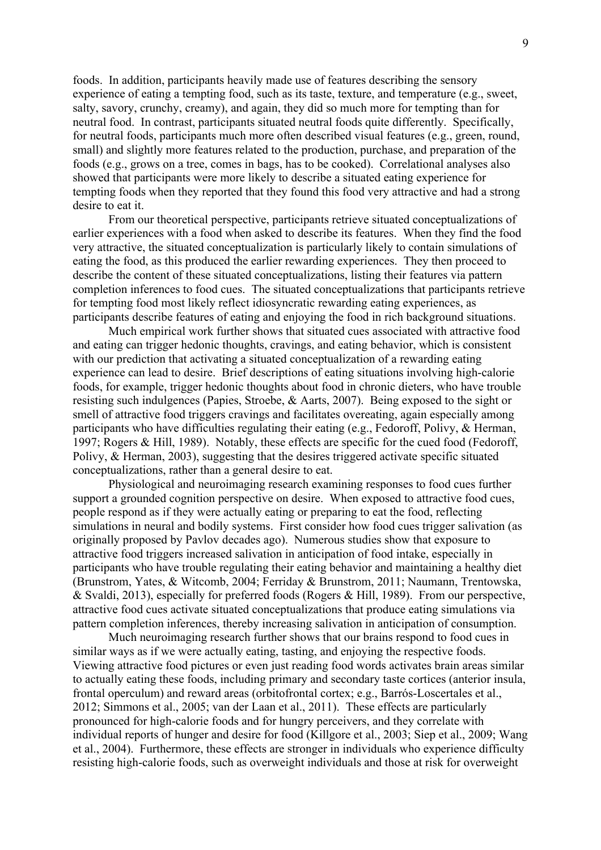foods. In addition, participants heavily made use of features describing the sensory experience of eating a tempting food, such as its taste, texture, and temperature (e.g., sweet, salty, savory, crunchy, creamy), and again, they did so much more for tempting than for neutral food. In contrast, participants situated neutral foods quite differently. Specifically, for neutral foods, participants much more often described visual features (e.g., green, round, small) and slightly more features related to the production, purchase, and preparation of the foods (e.g., grows on a tree, comes in bags, has to be cooked). Correlational analyses also showed that participants were more likely to describe a situated eating experience for tempting foods when they reported that they found this food very attractive and had a strong desire to eat it.

From our theoretical perspective, participants retrieve situated conceptualizations of earlier experiences with a food when asked to describe its features. When they find the food very attractive, the situated conceptualization is particularly likely to contain simulations of eating the food, as this produced the earlier rewarding experiences. They then proceed to describe the content of these situated conceptualizations, listing their features via pattern completion inferences to food cues. The situated conceptualizations that participants retrieve for tempting food most likely reflect idiosyncratic rewarding eating experiences, as participants describe features of eating and enjoying the food in rich background situations.

Much empirical work further shows that situated cues associated with attractive food and eating can trigger hedonic thoughts, cravings, and eating behavior, which is consistent with our prediction that activating a situated conceptualization of a rewarding eating experience can lead to desire. Brief descriptions of eating situations involving high-calorie foods, for example, trigger hedonic thoughts about food in chronic dieters, who have trouble resisting such indulgences (Papies, Stroebe, & Aarts, 2007). Being exposed to the sight or smell of attractive food triggers cravings and facilitates overeating, again especially among participants who have difficulties regulating their eating (e.g., Fedoroff, Polivy, & Herman, 1997; Rogers & Hill, 1989). Notably, these effects are specific for the cued food (Fedoroff, Polivy, & Herman, 2003), suggesting that the desires triggered activate specific situated conceptualizations, rather than a general desire to eat.

Physiological and neuroimaging research examining responses to food cues further support a grounded cognition perspective on desire. When exposed to attractive food cues, people respond as if they were actually eating or preparing to eat the food, reflecting simulations in neural and bodily systems. First consider how food cues trigger salivation (as originally proposed by Pavlov decades ago). Numerous studies show that exposure to attractive food triggers increased salivation in anticipation of food intake, especially in participants who have trouble regulating their eating behavior and maintaining a healthy diet (Brunstrom, Yates, & Witcomb, 2004; Ferriday & Brunstrom, 2011; Naumann, Trentowska, & Svaldi, 2013), especially for preferred foods (Rogers & Hill, 1989). From our perspective, attractive food cues activate situated conceptualizations that produce eating simulations via pattern completion inferences, thereby increasing salivation in anticipation of consumption.

Much neuroimaging research further shows that our brains respond to food cues in similar ways as if we were actually eating, tasting, and enjoying the respective foods. Viewing attractive food pictures or even just reading food words activates brain areas similar to actually eating these foods, including primary and secondary taste cortices (anterior insula, frontal operculum) and reward areas (orbitofrontal cortex; e.g., Barrós-Loscertales et al., 2012; Simmons et al., 2005; van der Laan et al., 2011). These effects are particularly pronounced for high-calorie foods and for hungry perceivers, and they correlate with individual reports of hunger and desire for food (Killgore et al., 2003; Siep et al., 2009; Wang et al., 2004). Furthermore, these effects are stronger in individuals who experience difficulty resisting high-calorie foods, such as overweight individuals and those at risk for overweight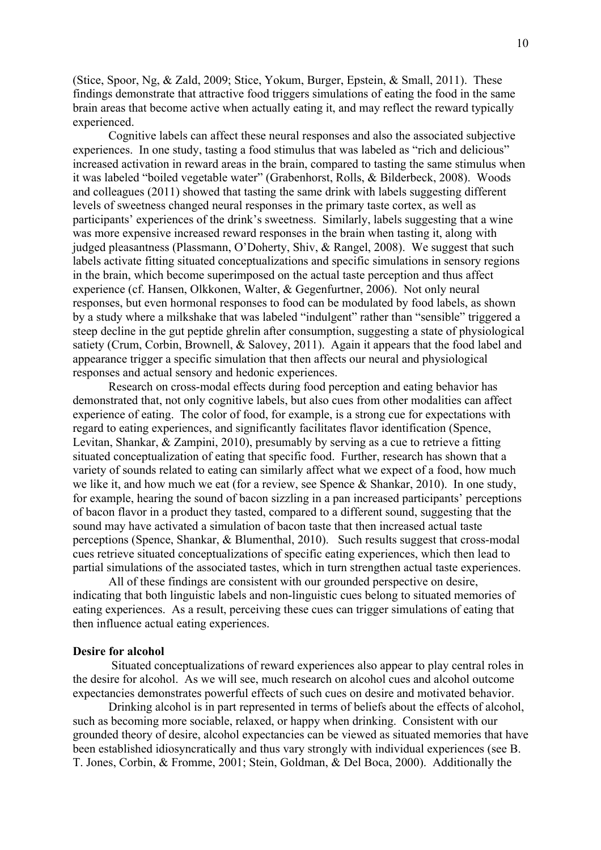(Stice, Spoor, Ng, & Zald, 2009; Stice, Yokum, Burger, Epstein, & Small, 2011). These findings demonstrate that attractive food triggers simulations of eating the food in the same brain areas that become active when actually eating it, and may reflect the reward typically experienced.

Cognitive labels can affect these neural responses and also the associated subjective experiences. In one study, tasting a food stimulus that was labeled as "rich and delicious" increased activation in reward areas in the brain, compared to tasting the same stimulus when it was labeled "boiled vegetable water" (Grabenhorst, Rolls, & Bilderbeck, 2008). Woods and colleagues (2011) showed that tasting the same drink with labels suggesting different levels of sweetness changed neural responses in the primary taste cortex, as well as participants' experiences of the drink's sweetness. Similarly, labels suggesting that a wine was more expensive increased reward responses in the brain when tasting it, along with judged pleasantness (Plassmann, O'Doherty, Shiv, & Rangel, 2008). We suggest that such labels activate fitting situated conceptualizations and specific simulations in sensory regions in the brain, which become superimposed on the actual taste perception and thus affect experience (cf. Hansen, Olkkonen, Walter, & Gegenfurtner, 2006). Not only neural responses, but even hormonal responses to food can be modulated by food labels, as shown by a study where a milkshake that was labeled "indulgent" rather than "sensible" triggered a steep decline in the gut peptide ghrelin after consumption, suggesting a state of physiological satiety (Crum, Corbin, Brownell, & Salovey, 2011). Again it appears that the food label and appearance trigger a specific simulation that then affects our neural and physiological responses and actual sensory and hedonic experiences.

Research on cross-modal effects during food perception and eating behavior has demonstrated that, not only cognitive labels, but also cues from other modalities can affect experience of eating. The color of food, for example, is a strong cue for expectations with regard to eating experiences, and significantly facilitates flavor identification (Spence, Levitan, Shankar, & Zampini, 2010), presumably by serving as a cue to retrieve a fitting situated conceptualization of eating that specific food. Further, research has shown that a variety of sounds related to eating can similarly affect what we expect of a food, how much we like it, and how much we eat (for a review, see Spence & Shankar, 2010). In one study, for example, hearing the sound of bacon sizzling in a pan increased participants' perceptions of bacon flavor in a product they tasted, compared to a different sound, suggesting that the sound may have activated a simulation of bacon taste that then increased actual taste perceptions (Spence, Shankar, & Blumenthal, 2010). Such results suggest that cross-modal cues retrieve situated conceptualizations of specific eating experiences, which then lead to partial simulations of the associated tastes, which in turn strengthen actual taste experiences.

All of these findings are consistent with our grounded perspective on desire, indicating that both linguistic labels and non-linguistic cues belong to situated memories of eating experiences. As a result, perceiving these cues can trigger simulations of eating that then influence actual eating experiences.

### **Desire for alcohol**

Situated conceptualizations of reward experiences also appear to play central roles in the desire for alcohol. As we will see, much research on alcohol cues and alcohol outcome expectancies demonstrates powerful effects of such cues on desire and motivated behavior.

Drinking alcohol is in part represented in terms of beliefs about the effects of alcohol, such as becoming more sociable, relaxed, or happy when drinking. Consistent with our grounded theory of desire, alcohol expectancies can be viewed as situated memories that have been established idiosyncratically and thus vary strongly with individual experiences (see B. T. Jones, Corbin, & Fromme, 2001; Stein, Goldman, & Del Boca, 2000). Additionally the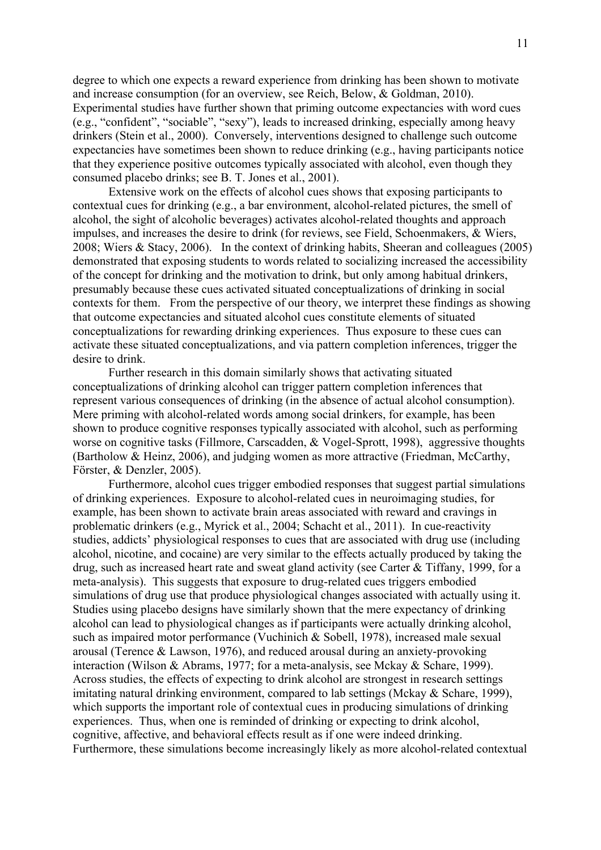degree to which one expects a reward experience from drinking has been shown to motivate and increase consumption (for an overview, see Reich, Below, & Goldman, 2010). Experimental studies have further shown that priming outcome expectancies with word cues (e.g., "confident", "sociable", "sexy"), leads to increased drinking, especially among heavy drinkers (Stein et al., 2000). Conversely, interventions designed to challenge such outcome expectancies have sometimes been shown to reduce drinking (e.g., having participants notice that they experience positive outcomes typically associated with alcohol, even though they consumed placebo drinks; see B. T. Jones et al., 2001).

Extensive work on the effects of alcohol cues shows that exposing participants to contextual cues for drinking (e.g., a bar environment, alcohol-related pictures, the smell of alcohol, the sight of alcoholic beverages) activates alcohol-related thoughts and approach impulses, and increases the desire to drink (for reviews, see Field, Schoenmakers, & Wiers, 2008; Wiers & Stacy, 2006). In the context of drinking habits, Sheeran and colleagues (2005) demonstrated that exposing students to words related to socializing increased the accessibility of the concept for drinking and the motivation to drink, but only among habitual drinkers, presumably because these cues activated situated conceptualizations of drinking in social contexts for them. From the perspective of our theory, we interpret these findings as showing that outcome expectancies and situated alcohol cues constitute elements of situated conceptualizations for rewarding drinking experiences. Thus exposure to these cues can activate these situated conceptualizations, and via pattern completion inferences, trigger the desire to drink.

Further research in this domain similarly shows that activating situated conceptualizations of drinking alcohol can trigger pattern completion inferences that represent various consequences of drinking (in the absence of actual alcohol consumption). Mere priming with alcohol-related words among social drinkers, for example, has been shown to produce cognitive responses typically associated with alcohol, such as performing worse on cognitive tasks (Fillmore, Carscadden, & Vogel-Sprott, 1998), aggressive thoughts (Bartholow & Heinz, 2006), and judging women as more attractive (Friedman, McCarthy, Förster, & Denzler, 2005).

Furthermore, alcohol cues trigger embodied responses that suggest partial simulations of drinking experiences. Exposure to alcohol-related cues in neuroimaging studies, for example, has been shown to activate brain areas associated with reward and cravings in problematic drinkers (e.g., Myrick et al., 2004; Schacht et al., 2011). In cue-reactivity studies, addicts' physiological responses to cues that are associated with drug use (including alcohol, nicotine, and cocaine) are very similar to the effects actually produced by taking the drug, such as increased heart rate and sweat gland activity (see Carter & Tiffany, 1999, for a meta-analysis). This suggests that exposure to drug-related cues triggers embodied simulations of drug use that produce physiological changes associated with actually using it. Studies using placebo designs have similarly shown that the mere expectancy of drinking alcohol can lead to physiological changes as if participants were actually drinking alcohol, such as impaired motor performance (Vuchinich & Sobell, 1978), increased male sexual arousal (Terence & Lawson, 1976), and reduced arousal during an anxiety-provoking interaction (Wilson & Abrams, 1977; for a meta-analysis, see Mckay & Schare, 1999). Across studies, the effects of expecting to drink alcohol are strongest in research settings imitating natural drinking environment, compared to lab settings (Mckay & Schare, 1999), which supports the important role of contextual cues in producing simulations of drinking experiences. Thus, when one is reminded of drinking or expecting to drink alcohol, cognitive, affective, and behavioral effects result as if one were indeed drinking. Furthermore, these simulations become increasingly likely as more alcohol-related contextual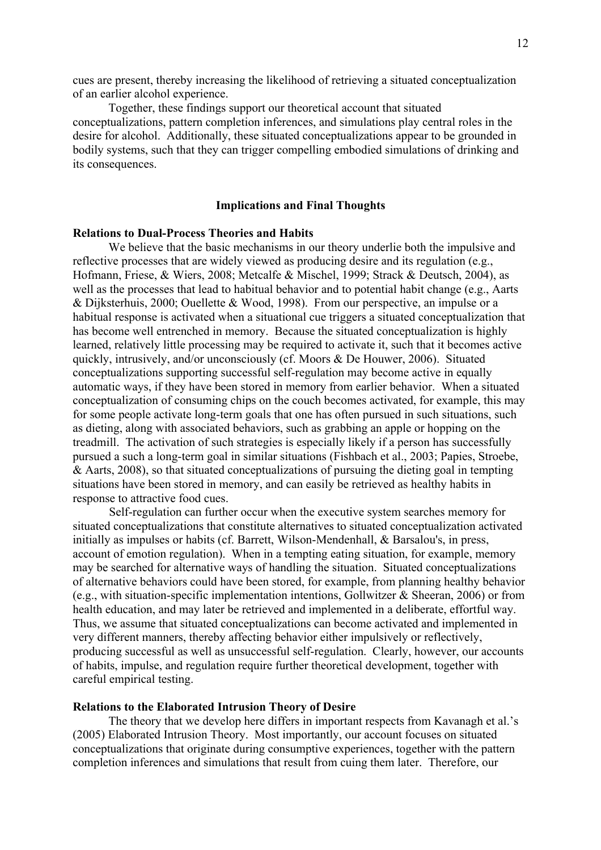cues are present, thereby increasing the likelihood of retrieving a situated conceptualization of an earlier alcohol experience.

Together, these findings support our theoretical account that situated conceptualizations, pattern completion inferences, and simulations play central roles in the desire for alcohol. Additionally, these situated conceptualizations appear to be grounded in bodily systems, such that they can trigger compelling embodied simulations of drinking and its consequences.

### **Implications and Final Thoughts**

### **Relations to Dual-Process Theories and Habits**

We believe that the basic mechanisms in our theory underlie both the impulsive and reflective processes that are widely viewed as producing desire and its regulation (e.g., Hofmann, Friese, & Wiers, 2008; Metcalfe & Mischel, 1999; Strack & Deutsch, 2004), as well as the processes that lead to habitual behavior and to potential habit change (e.g., Aarts & Dijksterhuis, 2000; Ouellette & Wood, 1998). From our perspective, an impulse or a habitual response is activated when a situational cue triggers a situated conceptualization that has become well entrenched in memory. Because the situated conceptualization is highly learned, relatively little processing may be required to activate it, such that it becomes active quickly, intrusively, and/or unconsciously (cf. Moors & De Houwer, 2006). Situated conceptualizations supporting successful self-regulation may become active in equally automatic ways, if they have been stored in memory from earlier behavior. When a situated conceptualization of consuming chips on the couch becomes activated, for example, this may for some people activate long-term goals that one has often pursued in such situations, such as dieting, along with associated behaviors, such as grabbing an apple or hopping on the treadmill. The activation of such strategies is especially likely if a person has successfully pursued a such a long-term goal in similar situations (Fishbach et al., 2003; Papies, Stroebe, & Aarts, 2008), so that situated conceptualizations of pursuing the dieting goal in tempting situations have been stored in memory, and can easily be retrieved as healthy habits in response to attractive food cues.

Self-regulation can further occur when the executive system searches memory for situated conceptualizations that constitute alternatives to situated conceptualization activated initially as impulses or habits (cf. Barrett, Wilson-Mendenhall, & Barsalou's, in press, account of emotion regulation). When in a tempting eating situation, for example, memory may be searched for alternative ways of handling the situation. Situated conceptualizations of alternative behaviors could have been stored, for example, from planning healthy behavior (e.g., with situation-specific implementation intentions, Gollwitzer & Sheeran, 2006) or from health education, and may later be retrieved and implemented in a deliberate, effortful way. Thus, we assume that situated conceptualizations can become activated and implemented in very different manners, thereby affecting behavior either impulsively or reflectively, producing successful as well as unsuccessful self-regulation. Clearly, however, our accounts of habits, impulse, and regulation require further theoretical development, together with careful empirical testing.

### **Relations to the Elaborated Intrusion Theory of Desire**

The theory that we develop here differs in important respects from Kavanagh et al.'s (2005) Elaborated Intrusion Theory. Most importantly, our account focuses on situated conceptualizations that originate during consumptive experiences, together with the pattern completion inferences and simulations that result from cuing them later. Therefore, our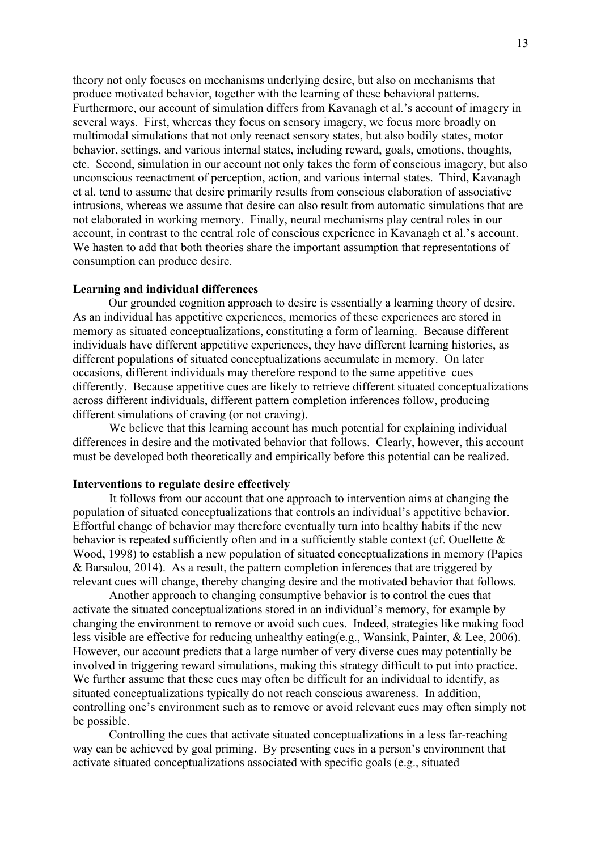theory not only focuses on mechanisms underlying desire, but also on mechanisms that produce motivated behavior, together with the learning of these behavioral patterns. Furthermore, our account of simulation differs from Kavanagh et al.'s account of imagery in several ways. First, whereas they focus on sensory imagery, we focus more broadly on multimodal simulations that not only reenact sensory states, but also bodily states, motor behavior, settings, and various internal states, including reward, goals, emotions, thoughts, etc. Second, simulation in our account not only takes the form of conscious imagery, but also unconscious reenactment of perception, action, and various internal states. Third, Kavanagh et al. tend to assume that desire primarily results from conscious elaboration of associative intrusions, whereas we assume that desire can also result from automatic simulations that are not elaborated in working memory. Finally, neural mechanisms play central roles in our account, in contrast to the central role of conscious experience in Kavanagh et al.'s account. We hasten to add that both theories share the important assumption that representations of consumption can produce desire.

### **Learning and individual differences**

Our grounded cognition approach to desire is essentially a learning theory of desire. As an individual has appetitive experiences, memories of these experiences are stored in memory as situated conceptualizations, constituting a form of learning. Because different individuals have different appetitive experiences, they have different learning histories, as different populations of situated conceptualizations accumulate in memory. On later occasions, different individuals may therefore respond to the same appetitive cues differently. Because appetitive cues are likely to retrieve different situated conceptualizations across different individuals, different pattern completion inferences follow, producing different simulations of craving (or not craving).

We believe that this learning account has much potential for explaining individual differences in desire and the motivated behavior that follows. Clearly, however, this account must be developed both theoretically and empirically before this potential can be realized.

### **Interventions to regulate desire effectively**

It follows from our account that one approach to intervention aims at changing the population of situated conceptualizations that controls an individual's appetitive behavior. Effortful change of behavior may therefore eventually turn into healthy habits if the new behavior is repeated sufficiently often and in a sufficiently stable context (cf. Ouellette & Wood, 1998) to establish a new population of situated conceptualizations in memory (Papies & Barsalou, 2014). As a result, the pattern completion inferences that are triggered by relevant cues will change, thereby changing desire and the motivated behavior that follows.

Another approach to changing consumptive behavior is to control the cues that activate the situated conceptualizations stored in an individual's memory, for example by changing the environment to remove or avoid such cues. Indeed, strategies like making food less visible are effective for reducing unhealthy eating(e.g., Wansink, Painter, & Lee, 2006). However, our account predicts that a large number of very diverse cues may potentially be involved in triggering reward simulations, making this strategy difficult to put into practice. We further assume that these cues may often be difficult for an individual to identify, as situated conceptualizations typically do not reach conscious awareness. In addition, controlling one's environment such as to remove or avoid relevant cues may often simply not be possible.

Controlling the cues that activate situated conceptualizations in a less far-reaching way can be achieved by goal priming. By presenting cues in a person's environment that activate situated conceptualizations associated with specific goals (e.g., situated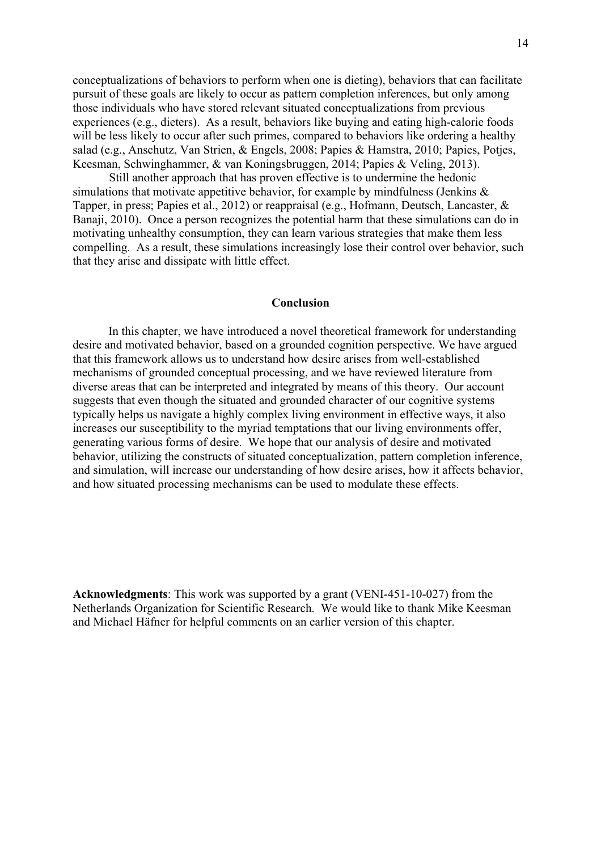conceptualizations of behaviors to perform when one is dieting), behaviors that can facilitate pursuit of these goals are likely to occur as pattern completion inferences, but only among those individuals who have stored relevant situated conceptualizations from previous experiences (e.g., dieters). As a result, behaviors like buying and eating high-calorie foods will be less likely to occur after such primes, compared to behaviors like ordering a healthy salad (e.g., Anschutz, Van Strien, & Engels, 2008; Papies & Hamstra, 2010; Papies, Potjes, Keesman, Schwinghammer, & van Koningsbruggen, 2014; Papies & Veling, 2013).

Still another approach that has proven effective is to undermine the hedonic simulations that motivate appetitive behavior, for example by mindfulness (Jenkins  $\&$ Tapper, in press; Papies et al., 2012) or reappraisal (e.g., Hofmann, Deutsch, Lancaster, & Banaji, 2010). Once a person recognizes the potential harm that these simulations can do in motivating unhealthy consumption, they can learn various strategies that make them less compelling. As a result, these simulations increasingly lose their control over behavior, such that they arise and dissipate with little effect.

#### **Conclusion**

In this chapter, we have introduced a novel theoretical framework for understanding desire and motivated behavior, based on a grounded cognition perspective. We have argued that this framework allows us to understand how desire arises from well-established mechanisms of grounded conceptual processing, and we have reviewed literature from diverse areas that can be interpreted and integrated by means of this theory. Our account suggests that even though the situated and grounded character of our cognitive systems typically helps us navigate a highly complex living environment in effective ways, it also increases our susceptibility to the myriad temptations that our living environments offer, generating various forms of desire. We hope that our analysis of desire and motivated behavior, utilizing the constructs of situated conceptualization, pattern completion inference, and simulation, will increase our understanding of how desire arises, how it affects behavior, and how situated processing mechanisms can be used to modulate these effects.

**Acknowledgments**: This work was supported by a grant (VENI-451-10-027) from the Netherlands Organization for Scientific Research. We would like to thank Mike Keesman and Michael Häfner for helpful comments on an earlier version of this chapter.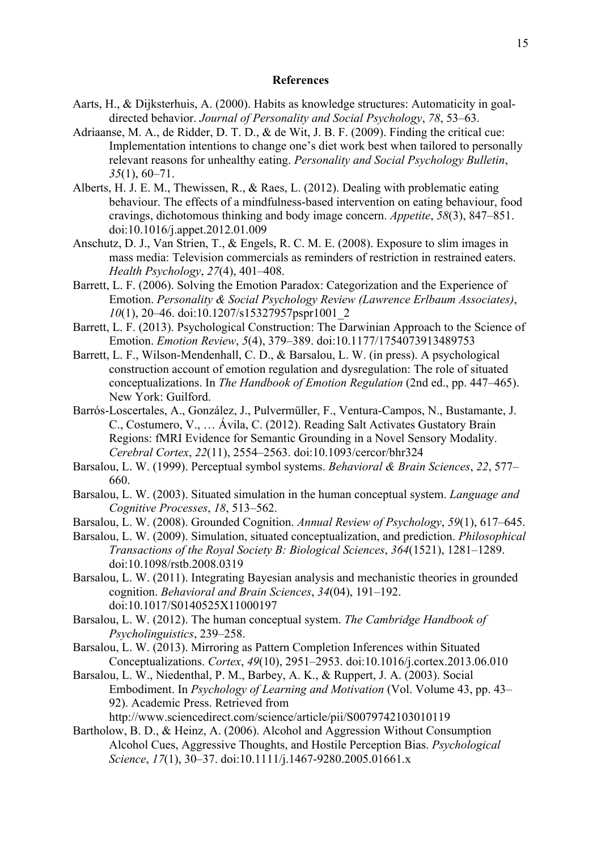### **References**

- Aarts, H., & Dijksterhuis, A. (2000). Habits as knowledge structures: Automaticity in goaldirected behavior. *Journal of Personality and Social Psychology*, *78*, 53–63.
- Adriaanse, M. A., de Ridder, D. T. D., & de Wit, J. B. F. (2009). Finding the critical cue: Implementation intentions to change one's diet work best when tailored to personally relevant reasons for unhealthy eating. *Personality and Social Psychology Bulletin*, *35*(1), 60–71.
- Alberts, H. J. E. M., Thewissen, R., & Raes, L. (2012). Dealing with problematic eating behaviour. The effects of a mindfulness-based intervention on eating behaviour, food cravings, dichotomous thinking and body image concern. *Appetite*, *58*(3), 847–851. doi:10.1016/j.appet.2012.01.009
- Anschutz, D. J., Van Strien, T., & Engels, R. C. M. E. (2008). Exposure to slim images in mass media: Television commercials as reminders of restriction in restrained eaters. *Health Psychology*, *27*(4), 401–408.
- Barrett, L. F. (2006). Solving the Emotion Paradox: Categorization and the Experience of Emotion. *Personality & Social Psychology Review (Lawrence Erlbaum Associates)*, *10*(1), 20–46. doi:10.1207/s15327957pspr1001\_2
- Barrett, L. F. (2013). Psychological Construction: The Darwinian Approach to the Science of Emotion. *Emotion Review*, *5*(4), 379–389. doi:10.1177/1754073913489753
- Barrett, L. F., Wilson-Mendenhall, C. D., & Barsalou, L. W. (in press). A psychological construction account of emotion regulation and dysregulation: The role of situated conceptualizations. In *The Handbook of Emotion Regulation* (2nd ed., pp. 447–465). New York: Guilford.
- Barrós-Loscertales, A., González, J., Pulvermüller, F., Ventura-Campos, N., Bustamante, J. C., Costumero, V., … Ávila, C. (2012). Reading Salt Activates Gustatory Brain Regions: fMRI Evidence for Semantic Grounding in a Novel Sensory Modality. *Cerebral Cortex*, *22*(11), 2554–2563. doi:10.1093/cercor/bhr324
- Barsalou, L. W. (1999). Perceptual symbol systems. *Behavioral & Brain Sciences*, *22*, 577– 660.
- Barsalou, L. W. (2003). Situated simulation in the human conceptual system. *Language and Cognitive Processes*, *18*, 513–562.
- Barsalou, L. W. (2008). Grounded Cognition. *Annual Review of Psychology*, *59*(1), 617–645.
- Barsalou, L. W. (2009). Simulation, situated conceptualization, and prediction. *Philosophical Transactions of the Royal Society B: Biological Sciences*, *364*(1521), 1281–1289. doi:10.1098/rstb.2008.0319
- Barsalou, L. W. (2011). Integrating Bayesian analysis and mechanistic theories in grounded cognition. *Behavioral and Brain Sciences*, *34*(04), 191–192. doi:10.1017/S0140525X11000197
- Barsalou, L. W. (2012). The human conceptual system. *The Cambridge Handbook of Psycholinguistics*, 239–258.
- Barsalou, L. W. (2013). Mirroring as Pattern Completion Inferences within Situated Conceptualizations. *Cortex*, *49*(10), 2951–2953. doi:10.1016/j.cortex.2013.06.010
- Barsalou, L. W., Niedenthal, P. M., Barbey, A. K., & Ruppert, J. A. (2003). Social Embodiment. In *Psychology of Learning and Motivation* (Vol. Volume 43, pp. 43– 92). Academic Press. Retrieved from

http://www.sciencedirect.com/science/article/pii/S0079742103010119

Bartholow, B. D., & Heinz, A. (2006). Alcohol and Aggression Without Consumption Alcohol Cues, Aggressive Thoughts, and Hostile Perception Bias. *Psychological Science*, *17*(1), 30–37. doi:10.1111/j.1467-9280.2005.01661.x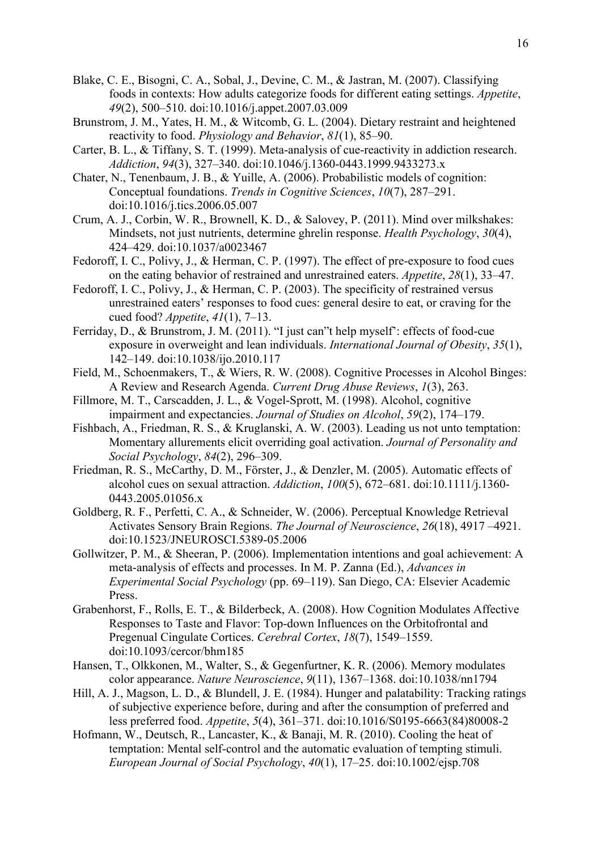- Blake, C. E., Bisogni, C. A., Sobal, J., Devine, C. M., & Jastran, M. (2007). Classifying foods in contexts: How adults categorize foods for different eating settings. *Appetite*, *49*(2), 500–510. doi:10.1016/j.appet.2007.03.009
- Brunstrom, J. M., Yates, H. M., & Witcomb, G. L. (2004). Dietary restraint and heightened reactivity to food. *Physiology and Behavior*, *81*(1), 85–90.
- Carter, B. L., & Tiffany, S. T. (1999). Meta-analysis of cue-reactivity in addiction research. *Addiction*, *94*(3), 327–340. doi:10.1046/j.1360-0443.1999.9433273.x
- Chater, N., Tenenbaum, J. B., & Yuille, A. (2006). Probabilistic models of cognition: Conceptual foundations. *Trends in Cognitive Sciences*, *10*(7), 287–291. doi:10.1016/j.tics.2006.05.007
- Crum, A. J., Corbin, W. R., Brownell, K. D., & Salovey, P. (2011). Mind over milkshakes: Mindsets, not just nutrients, determine ghrelin response. *Health Psychology*, *30*(4), 424–429. doi:10.1037/a0023467
- Fedoroff, I. C., Polivy, J., & Herman, C. P. (1997). The effect of pre-exposure to food cues on the eating behavior of restrained and unrestrained eaters. *Appetite*, *28*(1), 33–47.
- Fedoroff, I. C., Polivy, J., & Herman, C. P. (2003). The specificity of restrained versus unrestrained eaters' responses to food cues: general desire to eat, or craving for the cued food? *Appetite*, *41*(1), 7–13.
- Ferriday, D., & Brunstrom, J. M. (2011). "I just can"t help myself': effects of food-cue exposure in overweight and lean individuals. *International Journal of Obesity*, *35*(1), 142–149. doi:10.1038/ijo.2010.117
- Field, M., Schoenmakers, T., & Wiers, R. W. (2008). Cognitive Processes in Alcohol Binges: A Review and Research Agenda. *Current Drug Abuse Reviews*, *1*(3), 263.
- Fillmore, M. T., Carscadden, J. L., & Vogel-Sprott, M. (1998). Alcohol, cognitive impairment and expectancies. *Journal of Studies on Alcohol*, *59*(2), 174–179.
- Fishbach, A., Friedman, R. S., & Kruglanski, A. W. (2003). Leading us not unto temptation: Momentary allurements elicit overriding goal activation. *Journal of Personality and Social Psychology*, *84*(2), 296–309.
- Friedman, R. S., McCarthy, D. M., Förster, J., & Denzler, M. (2005). Automatic effects of alcohol cues on sexual attraction. *Addiction*, *100*(5), 672–681. doi:10.1111/j.1360- 0443.2005.01056.x
- Goldberg, R. F., Perfetti, C. A., & Schneider, W. (2006). Perceptual Knowledge Retrieval Activates Sensory Brain Regions. *The Journal of Neuroscience*, *26*(18), 4917 –4921. doi:10.1523/JNEUROSCI.5389-05.2006
- Gollwitzer, P. M., & Sheeran, P. (2006). Implementation intentions and goal achievement: A meta-analysis of effects and processes. In M. P. Zanna (Ed.), *Advances in Experimental Social Psychology* (pp. 69–119). San Diego, CA: Elsevier Academic Press.
- Grabenhorst, F., Rolls, E. T., & Bilderbeck, A. (2008). How Cognition Modulates Affective Responses to Taste and Flavor: Top-down Influences on the Orbitofrontal and Pregenual Cingulate Cortices. *Cerebral Cortex*, *18*(7), 1549–1559. doi:10.1093/cercor/bhm185
- Hansen, T., Olkkonen, M., Walter, S., & Gegenfurtner, K. R. (2006). Memory modulates color appearance. *Nature Neuroscience*, *9*(11), 1367–1368. doi:10.1038/nn1794
- Hill, A. J., Magson, L. D., & Blundell, J. E. (1984). Hunger and palatability: Tracking ratings of subjective experience before, during and after the consumption of preferred and less preferred food. *Appetite*, *5*(4), 361–371. doi:10.1016/S0195-6663(84)80008-2
- Hofmann, W., Deutsch, R., Lancaster, K., & Banaji, M. R. (2010). Cooling the heat of temptation: Mental self-control and the automatic evaluation of tempting stimuli. *European Journal of Social Psychology*, *40*(1), 17–25. doi:10.1002/ejsp.708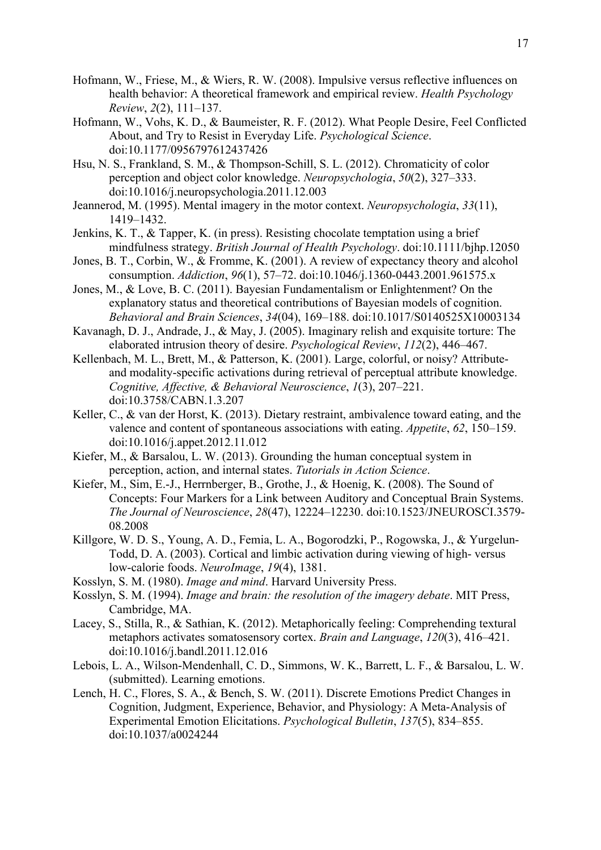- Hofmann, W., Friese, M., & Wiers, R. W. (2008). Impulsive versus reflective influences on health behavior: A theoretical framework and empirical review. *Health Psychology Review*, *2*(2), 111–137.
- Hofmann, W., Vohs, K. D., & Baumeister, R. F. (2012). What People Desire, Feel Conflicted About, and Try to Resist in Everyday Life. *Psychological Science*. doi:10.1177/0956797612437426
- Hsu, N. S., Frankland, S. M., & Thompson-Schill, S. L. (2012). Chromaticity of color perception and object color knowledge. *Neuropsychologia*, *50*(2), 327–333. doi:10.1016/j.neuropsychologia.2011.12.003
- Jeannerod, M. (1995). Mental imagery in the motor context. *Neuropsychologia*, *33*(11), 1419–1432.
- Jenkins, K. T., & Tapper, K. (in press). Resisting chocolate temptation using a brief mindfulness strategy. *British Journal of Health Psychology*. doi:10.1111/bjhp.12050
- Jones, B. T., Corbin, W., & Fromme, K. (2001). A review of expectancy theory and alcohol consumption. *Addiction*, *96*(1), 57–72. doi:10.1046/j.1360-0443.2001.961575.x
- Jones, M., & Love, B. C. (2011). Bayesian Fundamentalism or Enlightenment? On the explanatory status and theoretical contributions of Bayesian models of cognition. *Behavioral and Brain Sciences*, *34*(04), 169–188. doi:10.1017/S0140525X10003134
- Kavanagh, D. J., Andrade, J., & May, J. (2005). Imaginary relish and exquisite torture: The elaborated intrusion theory of desire. *Psychological Review*, *112*(2), 446–467.
- Kellenbach, M. L., Brett, M., & Patterson, K. (2001). Large, colorful, or noisy? Attributeand modality-specific activations during retrieval of perceptual attribute knowledge. *Cognitive, Affective, & Behavioral Neuroscience*, *1*(3), 207–221. doi:10.3758/CABN.1.3.207
- Keller, C., & van der Horst, K. (2013). Dietary restraint, ambivalence toward eating, and the valence and content of spontaneous associations with eating. *Appetite*, *62*, 150–159. doi:10.1016/j.appet.2012.11.012
- Kiefer, M., & Barsalou, L. W. (2013). Grounding the human conceptual system in perception, action, and internal states. *Tutorials in Action Science*.
- Kiefer, M., Sim, E.-J., Herrnberger, B., Grothe, J., & Hoenig, K. (2008). The Sound of Concepts: Four Markers for a Link between Auditory and Conceptual Brain Systems. *The Journal of Neuroscience*, *28*(47), 12224–12230. doi:10.1523/JNEUROSCI.3579- 08.2008
- Killgore, W. D. S., Young, A. D., Femia, L. A., Bogorodzki, P., Rogowska, J., & Yurgelun-Todd, D. A. (2003). Cortical and limbic activation during viewing of high- versus low-calorie foods. *NeuroImage*, *19*(4), 1381.
- Kosslyn, S. M. (1980). *Image and mind*. Harvard University Press.
- Kosslyn, S. M. (1994). *Image and brain: the resolution of the imagery debate*. MIT Press, Cambridge, MA.
- Lacey, S., Stilla, R., & Sathian, K. (2012). Metaphorically feeling: Comprehending textural metaphors activates somatosensory cortex. *Brain and Language*, *120*(3), 416–421. doi:10.1016/j.bandl.2011.12.016
- Lebois, L. A., Wilson-Mendenhall, C. D., Simmons, W. K., Barrett, L. F., & Barsalou, L. W. (submitted). Learning emotions.
- Lench, H. C., Flores, S. A., & Bench, S. W. (2011). Discrete Emotions Predict Changes in Cognition, Judgment, Experience, Behavior, and Physiology: A Meta-Analysis of Experimental Emotion Elicitations. *Psychological Bulletin*, *137*(5), 834–855. doi:10.1037/a0024244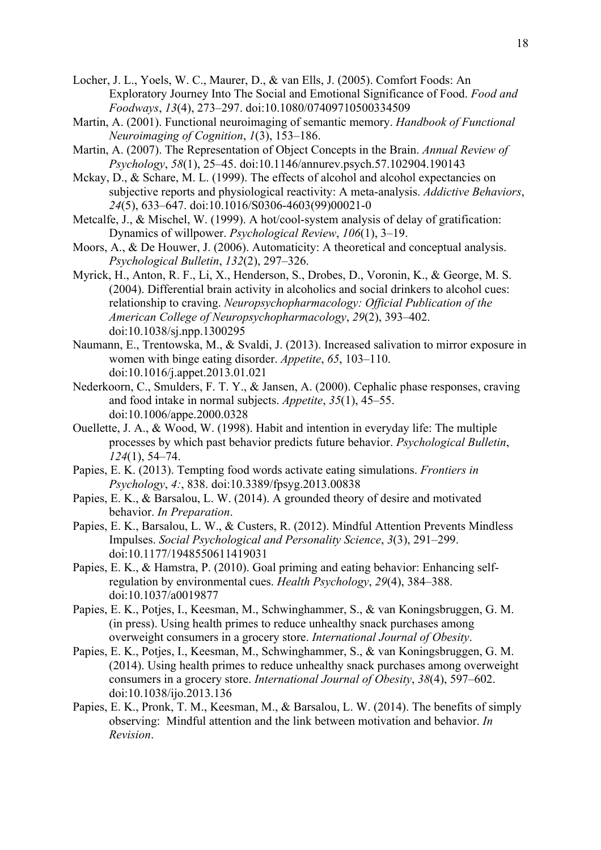- Locher, J. L., Yoels, W. C., Maurer, D., & van Ells, J. (2005). Comfort Foods: An Exploratory Journey Into The Social and Emotional Significance of Food. *Food and Foodways*, *13*(4), 273–297. doi:10.1080/07409710500334509
- Martin, A. (2001). Functional neuroimaging of semantic memory. *Handbook of Functional Neuroimaging of Cognition*, *1*(3), 153–186.
- Martin, A. (2007). The Representation of Object Concepts in the Brain. *Annual Review of Psychology*, *58*(1), 25–45. doi:10.1146/annurev.psych.57.102904.190143
- Mckay, D., & Schare, M. L. (1999). The effects of alcohol and alcohol expectancies on subjective reports and physiological reactivity: A meta-analysis. *Addictive Behaviors*, *24*(5), 633–647. doi:10.1016/S0306-4603(99)00021-0
- Metcalfe, J., & Mischel, W. (1999). A hot/cool-system analysis of delay of gratification: Dynamics of willpower. *Psychological Review*, *106*(1), 3–19.
- Moors, A., & De Houwer, J. (2006). Automaticity: A theoretical and conceptual analysis. *Psychological Bulletin*, *132*(2), 297–326.
- Myrick, H., Anton, R. F., Li, X., Henderson, S., Drobes, D., Voronin, K., & George, M. S. (2004). Differential brain activity in alcoholics and social drinkers to alcohol cues: relationship to craving. *Neuropsychopharmacology: Official Publication of the American College of Neuropsychopharmacology*, *29*(2), 393–402. doi:10.1038/sj.npp.1300295
- Naumann, E., Trentowska, M., & Svaldi, J. (2013). Increased salivation to mirror exposure in women with binge eating disorder. *Appetite*, *65*, 103–110. doi:10.1016/j.appet.2013.01.021
- Nederkoorn, C., Smulders, F. T. Y., & Jansen, A. (2000). Cephalic phase responses, craving and food intake in normal subjects. *Appetite*, *35*(1), 45–55. doi:10.1006/appe.2000.0328
- Ouellette, J. A., & Wood, W. (1998). Habit and intention in everyday life: The multiple processes by which past behavior predicts future behavior. *Psychological Bulletin*, *124*(1), 54–74.
- Papies, E. K. (2013). Tempting food words activate eating simulations. *Frontiers in Psychology*, *4:*, 838. doi:10.3389/fpsyg.2013.00838
- Papies, E. K., & Barsalou, L. W. (2014). A grounded theory of desire and motivated behavior. *In Preparation*.
- Papies, E. K., Barsalou, L. W., & Custers, R. (2012). Mindful Attention Prevents Mindless Impulses. *Social Psychological and Personality Science*, *3*(3), 291–299. doi:10.1177/1948550611419031
- Papies, E. K., & Hamstra, P. (2010). Goal priming and eating behavior: Enhancing selfregulation by environmental cues. *Health Psychology*, *29*(4), 384–388. doi:10.1037/a0019877
- Papies, E. K., Potjes, I., Keesman, M., Schwinghammer, S., & van Koningsbruggen, G. M. (in press). Using health primes to reduce unhealthy snack purchases among overweight consumers in a grocery store. *International Journal of Obesity*.
- Papies, E. K., Potjes, I., Keesman, M., Schwinghammer, S., & van Koningsbruggen, G. M. (2014). Using health primes to reduce unhealthy snack purchases among overweight consumers in a grocery store. *International Journal of Obesity*, *38*(4), 597–602. doi:10.1038/ijo.2013.136
- Papies, E. K., Pronk, T. M., Keesman, M., & Barsalou, L. W. (2014). The benefits of simply observing: Mindful attention and the link between motivation and behavior. *In Revision*.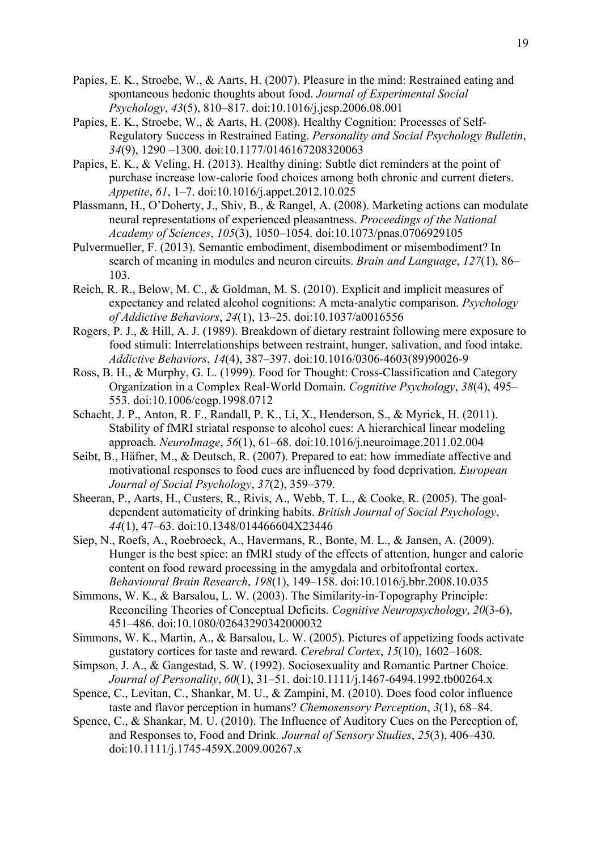- Papies, E. K., Stroebe, W., & Aarts, H. (2007). Pleasure in the mind: Restrained eating and spontaneous hedonic thoughts about food. *Journal of Experimental Social Psychology*, *43*(5), 810–817. doi:10.1016/j.jesp.2006.08.001
- Papies, E. K., Stroebe, W., & Aarts, H. (2008). Healthy Cognition: Processes of Self-Regulatory Success in Restrained Eating. *Personality and Social Psychology Bulletin*, *34*(9), 1290 –1300. doi:10.1177/0146167208320063
- Papies, E. K., & Veling, H. (2013). Healthy dining: Subtle diet reminders at the point of purchase increase low-calorie food choices among both chronic and current dieters. *Appetite*, *61*, 1–7. doi:10.1016/j.appet.2012.10.025
- Plassmann, H., O'Doherty, J., Shiv, B., & Rangel, A. (2008). Marketing actions can modulate neural representations of experienced pleasantness. *Proceedings of the National Academy of Sciences*, *105*(3), 1050–1054. doi:10.1073/pnas.0706929105
- Pulvermueller, F. (2013). Semantic embodiment, disembodiment or misembodiment? In search of meaning in modules and neuron circuits. *Brain and Language*, *127*(1), 86– 103.
- Reich, R. R., Below, M. C., & Goldman, M. S. (2010). Explicit and implicit measures of expectancy and related alcohol cognitions: A meta-analytic comparison. *Psychology of Addictive Behaviors*, *24*(1), 13–25. doi:10.1037/a0016556
- Rogers, P. J., & Hill, A. J. (1989). Breakdown of dietary restraint following mere exposure to food stimuli: Interrelationships between restraint, hunger, salivation, and food intake. *Addictive Behaviors*, *14*(4), 387–397. doi:10.1016/0306-4603(89)90026-9
- Ross, B. H., & Murphy, G. L. (1999). Food for Thought: Cross-Classification and Category Organization in a Complex Real-World Domain. *Cognitive Psychology*, *38*(4), 495– 553. doi:10.1006/cogp.1998.0712
- Schacht, J. P., Anton, R. F., Randall, P. K., Li, X., Henderson, S., & Myrick, H. (2011). Stability of fMRI striatal response to alcohol cues: A hierarchical linear modeling approach. *NeuroImage*, *56*(1), 61–68. doi:10.1016/j.neuroimage.2011.02.004
- Seibt, B., Häfner, M., & Deutsch, R. (2007). Prepared to eat: how immediate affective and motivational responses to food cues are influenced by food deprivation. *European Journal of Social Psychology*, *37*(2), 359–379.
- Sheeran, P., Aarts, H., Custers, R., Rivis, A., Webb, T. L., & Cooke, R. (2005). The goaldependent automaticity of drinking habits. *British Journal of Social Psychology*, *44*(1), 47–63. doi:10.1348/014466604X23446
- Siep, N., Roefs, A., Roebroeck, A., Havermans, R., Bonte, M. L., & Jansen, A. (2009). Hunger is the best spice: an fMRI study of the effects of attention, hunger and calorie content on food reward processing in the amygdala and orbitofrontal cortex. *Behavioural Brain Research*, *198*(1), 149–158. doi:10.1016/j.bbr.2008.10.035
- Simmons, W. K., & Barsalou, L. W. (2003). The Similarity-in-Topography Principle: Reconciling Theories of Conceptual Deficits. *Cognitive Neuropsychology*, *20*(3-6), 451–486. doi:10.1080/02643290342000032
- Simmons, W. K., Martin, A., & Barsalou, L. W. (2005). Pictures of appetizing foods activate gustatory cortices for taste and reward. *Cerebral Cortex*, *15*(10), 1602–1608.
- Simpson, J. A., & Gangestad, S. W. (1992). Sociosexuality and Romantic Partner Choice. *Journal of Personality*, *60*(1), 31–51. doi:10.1111/j.1467-6494.1992.tb00264.x
- Spence, C., Levitan, C., Shankar, M. U., & Zampini, M. (2010). Does food color influence taste and flavor perception in humans? *Chemosensory Perception*, *3*(1), 68–84.
- Spence, C., & Shankar, M. U. (2010). The Influence of Auditory Cues on the Perception of, and Responses to, Food and Drink. *Journal of Sensory Studies*, *25*(3), 406–430. doi:10.1111/j.1745-459X.2009.00267.x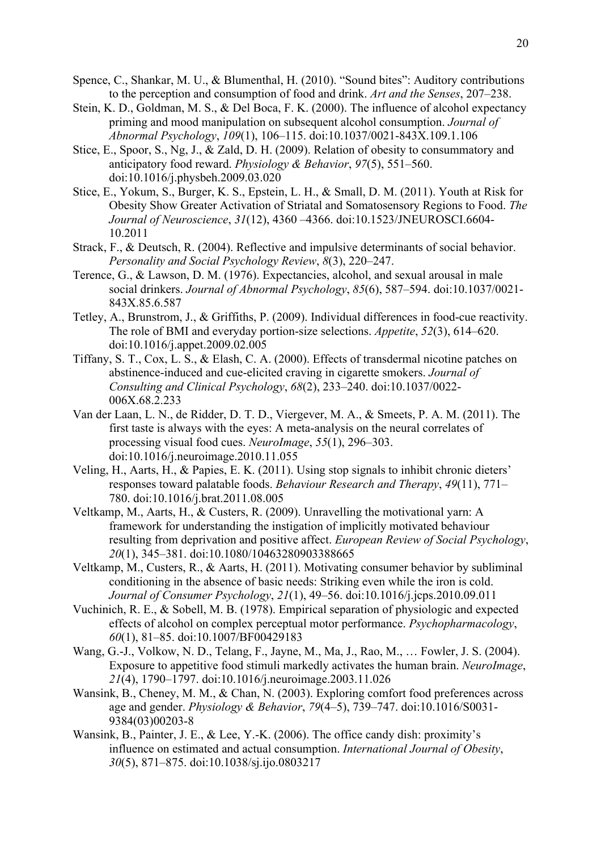- Spence, C., Shankar, M. U., & Blumenthal, H. (2010). "Sound bites": Auditory contributions to the perception and consumption of food and drink. *Art and the Senses*, 207–238.
- Stein, K. D., Goldman, M. S., & Del Boca, F. K. (2000). The influence of alcohol expectancy priming and mood manipulation on subsequent alcohol consumption. *Journal of Abnormal Psychology*, *109*(1), 106–115. doi:10.1037/0021-843X.109.1.106
- Stice, E., Spoor, S., Ng, J., & Zald, D. H. (2009). Relation of obesity to consummatory and anticipatory food reward. *Physiology & Behavior*, *97*(5), 551–560. doi:10.1016/j.physbeh.2009.03.020
- Stice, E., Yokum, S., Burger, K. S., Epstein, L. H., & Small, D. M. (2011). Youth at Risk for Obesity Show Greater Activation of Striatal and Somatosensory Regions to Food. *The Journal of Neuroscience*, *31*(12), 4360 –4366. doi:10.1523/JNEUROSCI.6604- 10.2011
- Strack, F., & Deutsch, R. (2004). Reflective and impulsive determinants of social behavior. *Personality and Social Psychology Review*, *8*(3), 220–247.
- Terence, G., & Lawson, D. M. (1976). Expectancies, alcohol, and sexual arousal in male social drinkers. *Journal of Abnormal Psychology*, *85*(6), 587–594. doi:10.1037/0021- 843X.85.6.587
- Tetley, A., Brunstrom, J., & Griffiths, P. (2009). Individual differences in food-cue reactivity. The role of BMI and everyday portion-size selections. *Appetite*, *52*(3), 614–620. doi:10.1016/j.appet.2009.02.005
- Tiffany, S. T., Cox, L. S., & Elash, C. A. (2000). Effects of transdermal nicotine patches on abstinence-induced and cue-elicited craving in cigarette smokers. *Journal of Consulting and Clinical Psychology*, *68*(2), 233–240. doi:10.1037/0022- 006X.68.2.233
- Van der Laan, L. N., de Ridder, D. T. D., Viergever, M. A., & Smeets, P. A. M. (2011). The first taste is always with the eyes: A meta-analysis on the neural correlates of processing visual food cues. *NeuroImage*, *55*(1), 296–303. doi:10.1016/j.neuroimage.2010.11.055
- Veling, H., Aarts, H., & Papies, E. K. (2011). Using stop signals to inhibit chronic dieters' responses toward palatable foods. *Behaviour Research and Therapy*, *49*(11), 771– 780. doi:10.1016/j.brat.2011.08.005
- Veltkamp, M., Aarts, H., & Custers, R. (2009). Unravelling the motivational yarn: A framework for understanding the instigation of implicitly motivated behaviour resulting from deprivation and positive affect. *European Review of Social Psychology*, *20*(1), 345–381. doi:10.1080/10463280903388665
- Veltkamp, M., Custers, R., & Aarts, H. (2011). Motivating consumer behavior by subliminal conditioning in the absence of basic needs: Striking even while the iron is cold. *Journal of Consumer Psychology*, *21*(1), 49–56. doi:10.1016/j.jcps.2010.09.011
- Vuchinich, R. E., & Sobell, M. B. (1978). Empirical separation of physiologic and expected effects of alcohol on complex perceptual motor performance. *Psychopharmacology*, *60*(1), 81–85. doi:10.1007/BF00429183
- Wang, G.-J., Volkow, N. D., Telang, F., Jayne, M., Ma, J., Rao, M., … Fowler, J. S. (2004). Exposure to appetitive food stimuli markedly activates the human brain. *NeuroImage*, *21*(4), 1790–1797. doi:10.1016/j.neuroimage.2003.11.026
- Wansink, B., Cheney, M. M., & Chan, N. (2003). Exploring comfort food preferences across age and gender. *Physiology & Behavior*, *79*(4–5), 739–747. doi:10.1016/S0031- 9384(03)00203-8
- Wansink, B., Painter, J. E., & Lee, Y.-K. (2006). The office candy dish: proximity's influence on estimated and actual consumption. *International Journal of Obesity*, *30*(5), 871–875. doi:10.1038/sj.ijo.0803217